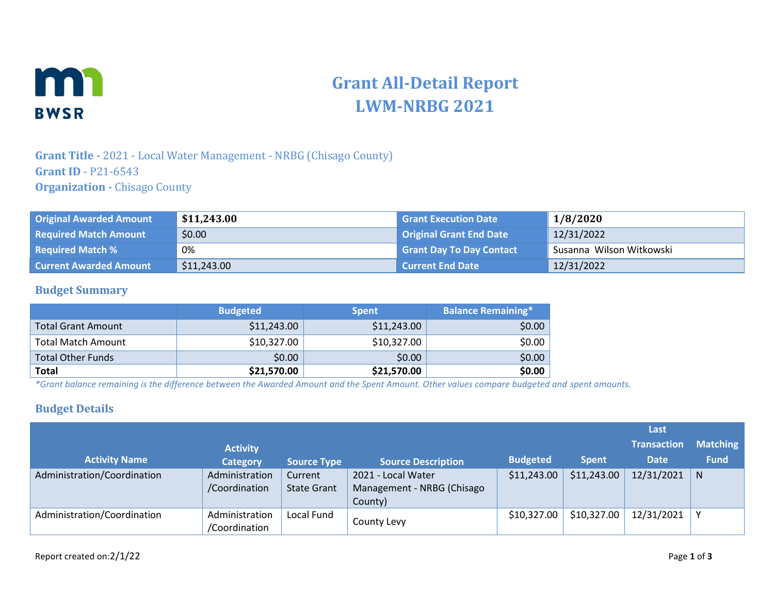

# **Grant All-Detail Report LWM-NRBG 2021**

### **Grant Title -** 2021 - Local Water Management - NRBG (Chisago County) **Grant ID** - P21-6543 **Organization -** Chisago County

| <b>Original Awarded Amount</b> | \$11,243.00 | <b>Grant Execution Date</b>     | 1/8/2020                 |
|--------------------------------|-------------|---------------------------------|--------------------------|
| <b>Required Match Amount</b>   | \$0.00      | <b>Original Grant End Date</b>  | 12/31/2022               |
| <b>Required Match %</b>        | 0%          | <b>Grant Day To Day Contact</b> | Susanna Wilson Witkowski |
| <b>Current Awarded Amount</b>  | \$11,243.00 | <b>Current End Date</b>         | 12/31/2022               |

#### **Budget Summary**

|                           | <b>Budgeted</b> | <b>Spent</b> | <b>Balance Remaining*</b> |
|---------------------------|-----------------|--------------|---------------------------|
| <b>Total Grant Amount</b> | \$11,243.00     | \$11,243.00  | \$0.00                    |
| <b>Total Match Amount</b> | \$10,327.00     | \$10,327.00  | \$0.00                    |
| <b>Total Other Funds</b>  | \$0.00          | \$0.00       | \$0.00                    |
| <b>Total</b>              | \$21,570.00     | \$21,570.00  | \$0.00                    |

*\*Grant balance remaining is the difference between the Awarded Amount and the Spent Amount. Other values compare budgeted and spent amounts.*

#### **Budget Details**

|                             |                                 |                               |                                                             |                 |              | Last               |                 |
|-----------------------------|---------------------------------|-------------------------------|-------------------------------------------------------------|-----------------|--------------|--------------------|-----------------|
|                             | <b>Activity</b>                 |                               |                                                             |                 |              | <b>Transaction</b> | <b>Matching</b> |
| <b>Activity Name</b>        | <b>Category</b>                 | <b>Source Type</b>            | <b>Source Description</b>                                   | <b>Budgeted</b> | <b>Spent</b> | <b>Date</b>        | <b>Fund</b>     |
| Administration/Coordination | Administration<br>/Coordination | Current<br><b>State Grant</b> | 2021 - Local Water<br>Management - NRBG (Chisago<br>County) | \$11,243.00     | \$11,243.00  | 12/31/2021         | N               |
| Administration/Coordination | Administration<br>/Coordination | Local Fund                    | County Levy                                                 | \$10,327.00     | \$10,327.00  | 12/31/2021         |                 |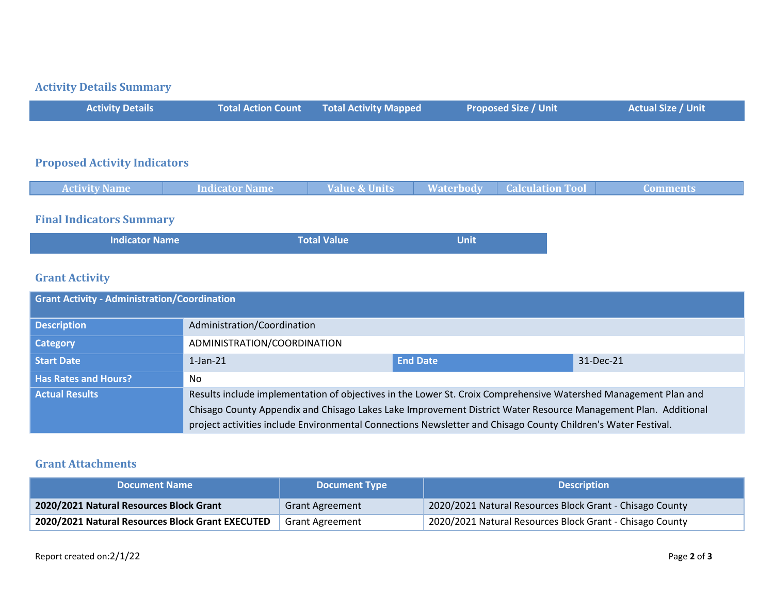## **Activity Details Summary**

| <b>Activity Details</b>             | <b>Total Action Count</b> | <b>Total Activity Mapped</b> | <b>Proposed Size / Unit</b> | <b>Actual Size / Unit</b> |
|-------------------------------------|---------------------------|------------------------------|-----------------------------|---------------------------|
|                                     |                           |                              |                             |                           |
| <b>Proposed Activity Indicators</b> |                           |                              |                             |                           |

| <b>Activity Name</b> | Indicator Name | <b>Value &amp; Units</b> | <b>Waterbody Calculation Tool</b> | ' Comments |
|----------------------|----------------|--------------------------|-----------------------------------|------------|
|                      |                |                          |                                   |            |

## **Final Indicators Summary**

| <b>Indicator Name</b> | <b>Total Value</b> | <b>Unit</b> |  |
|-----------------------|--------------------|-------------|--|
|-----------------------|--------------------|-------------|--|

## **Grant Activity**

| <b>Grant Activity - Administration/Coordination</b> |                                                                                                                 |                 |           |  |
|-----------------------------------------------------|-----------------------------------------------------------------------------------------------------------------|-----------------|-----------|--|
| <b>Description</b>                                  | Administration/Coordination                                                                                     |                 |           |  |
| Category                                            | ADMINISTRATION/COORDINATION                                                                                     |                 |           |  |
| Start Date                                          | $1$ -Jan- $21$                                                                                                  | <b>End Date</b> | 31-Dec-21 |  |
| <b>Has Rates and Hours?</b>                         | No                                                                                                              |                 |           |  |
| <b>Actual Results</b>                               | Results include implementation of objectives in the Lower St. Croix Comprehensive Watershed Management Plan and |                 |           |  |
|                                                     | Chisago County Appendix and Chisago Lakes Lake Improvement District Water Resource Management Plan. Additional  |                 |           |  |
|                                                     | project activities include Environmental Connections Newsletter and Chisago County Children's Water Festival.   |                 |           |  |

#### **Grant Attachments**

| <b>Document Name</b>                             | <b>Document Type</b>   | <b>Description</b>                                       |
|--------------------------------------------------|------------------------|----------------------------------------------------------|
| 2020/2021 Natural Resources Block Grant          | <b>Grant Agreement</b> | 2020/2021 Natural Resources Block Grant - Chisago County |
| 2020/2021 Natural Resources Block Grant EXECUTED | <b>Grant Agreement</b> | 2020/2021 Natural Resources Block Grant - Chisago County |